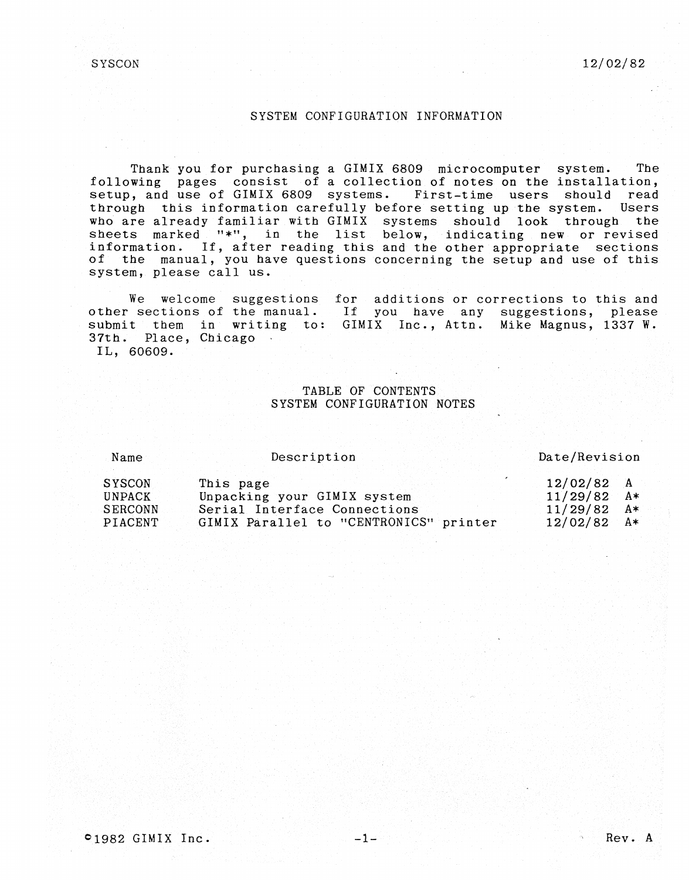$SYSCON$   $12/02/82$ 

# SYSTEM CONFIGURATION INFORMATION

Thank you for purchasing a GIMIX 6809 microcomputer system. The following pages consist of a collection of notes on the installation, setup, and use of GIMIX 6809 systems. First-time users should read through this information carefully before setting up the system. Users who are already familiar with GIMIX systems should look through the sheets marked "\*", in the list below, indicating new or revised information. If, after reading this and the other appropriate sections of the manual, you have questions concerning the setup and use of this system, please call us.

We welcome suggestions for additions or corrections to this and other sections of the manual. submit them in writing to: 37th. Place, Chicago If you have any suggestions, please GIMIX Inc., Attn. Mike Magnus, 1337 W. IL, 60609.

# TABLE OF CONTENTS SYSTEM CONFIGURATION NOTES

Name

Description

#### Date/Revision

| SYSCON<br>This page                               | $12/02/82$ A  |
|---------------------------------------------------|---------------|
| Unpacking your GIMIX system<br>UNPACK             | $11/29/82$ A* |
| Serial Interface Connections<br>SERCONN           | $11/29/82$ A* |
| GIMIX Parallel to "CENTRONICS" printer<br>PIACENT | $12/02/82$ A* |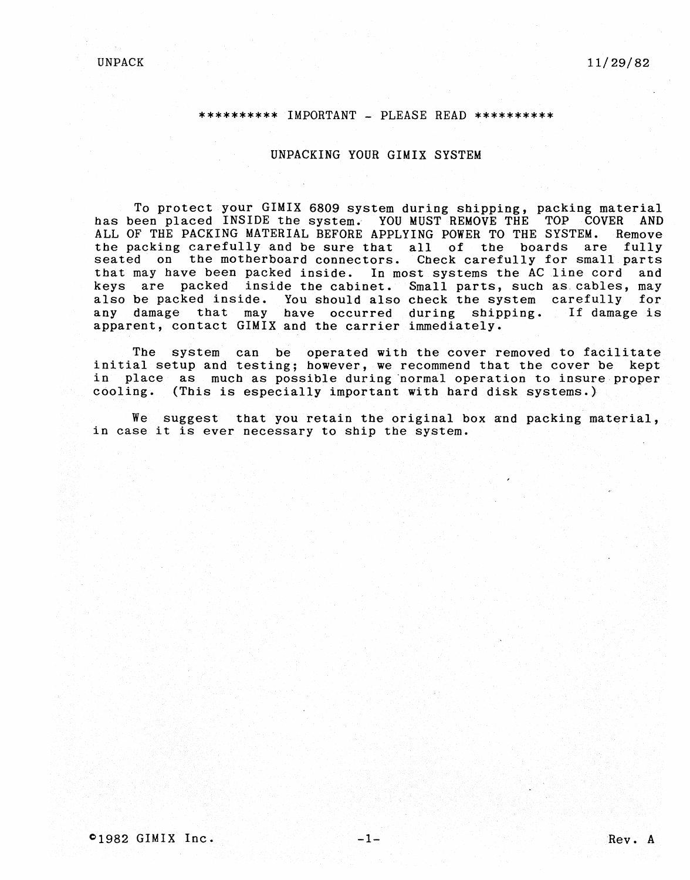#### \*\*\*\*\*\*\*\*\*\* IMPORTANT - PLEASE READ \*\*\*\*\*\*\*\*\*\*

### UNPACKING YOUR GIMIX SYSTEM

To protect your GIMIX 6809 system during shipping, packing material has been placed INSIDE the system. YOU MUST REMOVE THE TOP COVER AND ALL OF THE PACKING MATERIAL BEFORE APPLYING POWER TO THE SYSTEM. Remove the packing carefully and be sure that all of the boards are fully seated on the motherboard connectors. Check carefully for small parts that may have been packed inside. In most systems the AC line cord and keys are packed inside the cabinet. Small parts, such as. cables, may also be packed inside. You should also check the system carefully for any damage that may have occurred during shipping. If damage is apparent, contact GIMIX and the carrier immediately.

The system can be operated with the cover removed to facilitate initial setup and testing; however, we recommend that the cover be kept in place as much as possible during normal operation to insure proper cooling. (This is especially important with bard disk systems.) .

We suggest that you retain the original box and packing material, in case it is ever necessary to ship the system.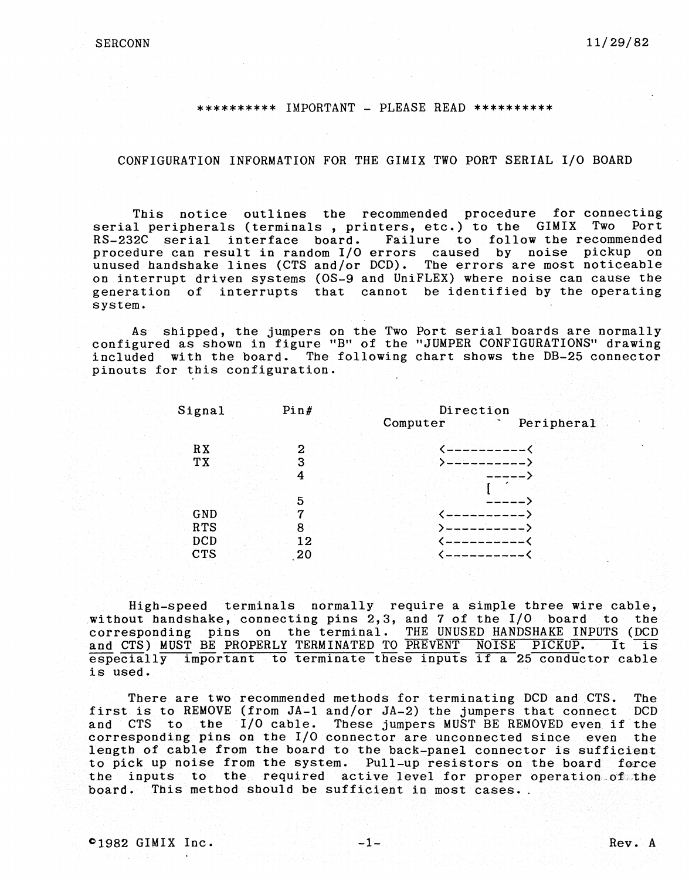#### \*\*\*\*\*\*\*\*\*\* IMPORTANT - PLEASE READ \*\*\*\*\*\*\*\*\*\*

## CONFIGURATION INFORMATION FOR THE GIMIX TWO PORT SERIAL I/O BOARD

This notice outlines the recommended procedure for connecting serial peripherals (terminals, printers, etc.) to the GIMIX Two Port<br>RS-232C serial interface board. Failure to follow the recommended Failure to follow the recommended procedure can result in random I/O errors caused by noise pickup on unused handshake lines (CTS and/or DCD). The errors are most noticeable on interrupt driven systems (OS-9 and UniFLEX) where noise can cause the generation of interrupts that cannot be identified by the operating system.

As shipped, the jumpers on the Two Port serial boards are normally configured as shown in figure "B" of the "JUMPER CONFIGURATIONS" drawing included with the board. The following chart shows the DB-25 connector pinouts for this configuration.

| Signal     | Pin# | Direction |            |  |  |  |
|------------|------|-----------|------------|--|--|--|
|            |      | Computer  | Peripheral |  |  |  |
| RX         | 2    |           |            |  |  |  |
| TX         | 3    |           |            |  |  |  |
|            | 4    |           |            |  |  |  |
|            | 5    |           |            |  |  |  |
| GND        | 7    |           |            |  |  |  |
| <b>RTS</b> | 8    |           |            |  |  |  |
| <b>DCD</b> | 12   |           |            |  |  |  |
| <b>CTS</b> | -20  |           |            |  |  |  |
|            |      |           |            |  |  |  |

High-speed terminals normally require a simple three wire cable, without handshake, connecting pins 2,3, and 7 of the I/O board to the corresponding pins on the terminal. THE UNUSED HANDSHAKE INPUTS (DCD and CTS) MUST BE PROPERLY TERMINATED TO PREVENT NOISE PICKUP. It is and CTS) MUST BE PROPERLY TERMINATED TO PREVENT NOISE PICKUP. especially important to terminate these inputs if a 25 conductor cable is used.

There are two recommended methods for terminating DCD and CTS. The<br>is to REMOVE (from JA-1 and/or JA-2) the jumpers that connect DCD first is to REMOVE (from  $JA-1$  and/or  $JA-2$ ) the jumpers that connect and CTS to the I/O cable. These jumpers MUST BE REMOVED even if the corresponding pins on the I/O connector are unconnected since even the length of cable from the board to the back-panel connector is sufficient to pick up noise from the system. Pull-up resistors on the board force the inputs to the required active level for proper operation of the board. This method should be sufficient in most cases.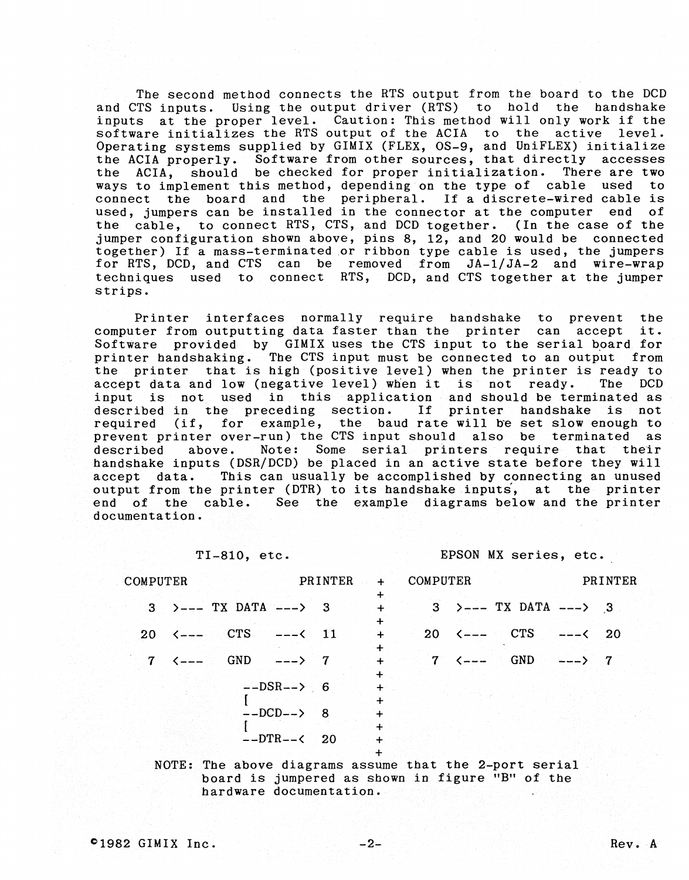The second method connects the RTS output from the board to the DCD and CTS inputs. Using the output driver (RTS) to hold the handshake inputs at tbe proper level. Caution: Tbis metbod will only work if tbe software initializes the RTS output of the ACIA to the active level. Operating systems supplied by GIMIX (FLEX, OS-9, and UniFLEX) initialize the ACIA properly. Software from other sources, that directly accesses<br>the ACIA, should be checked for proper initialization. There are two ACIA, should be checked for proper initialization. There are two<br>to implement this method, depending on the type of cable used to ways to implement this method, depending on the type of cable<br>connect the board and the peripheral. If a discrete-wired the board and the peripheral. If a discrete-wired cable is used, jumpers can be installed in the connector at the computer end of tbe cable, to connect RTS, CTS, and DCD together. (In the case of the jumper configuration sbown above, pins 8, 12, and 20 would be connected together) If a mass-terminated or ribbon type cable is used, the jumpers for RTS, DCD, and CTS can be removed from JA-l/JA-2 and wire-wrap tecbniques used to connect RTS, DCD, and CTS togetber at tbe jumper strips.

Printer interfaces normally require handshake to prevent the term outputting data faster than the printer can accept it. computer from outputting data faster than the printer can accept Software provided by GIMIX uses the CTS input to the serial board for<br>printer handshaking. The CTS input must be connected to an output from printer handshaking. The CTS input must be connected to an output the printer that is high (positive level) when the printer is ready to accept data and low (negative level) when it is not ready. The DCD accept data and low (negative level) when it is not ready. input is not used in tbis application and sbould be terminated as described in tbe preceding section. If printer bandsbake is not required (if, for example, the baud rate will be set slow enough to prevent printer over-run) the CTS input should also be terminated as<br>described above. Note: Some serial printers require that their described above. Note: Some serial printers require that tbeir handsbake inputs (DSR/DCD) be placed in an active state before tbey will accept data. Tbis can usually be accomplisbed by connecting an unused output from tbe printer (DTR) to its bandsbake inputs, at tbe printer end of the cable. See the example diagrams below and the printer documentation.

TI-810, etc. EPSON MX series, etc.

| COMPUTER |                                                           | PRINTER |                       | + COMPUTER |                                                                                                       | PRINTER |
|----------|-----------------------------------------------------------|---------|-----------------------|------------|-------------------------------------------------------------------------------------------------------|---------|
|          | $3$ $\rightarrow$ --- TX DATA ---> 3                      |         | $\div$                |            | $3$ $\rightarrow$ --- TX DATA ---> 3                                                                  |         |
|          | $20 \leq - - - \text{CTS} \qquad - - \leq 11$             |         | $\ddot{}$<br>$\div$   |            | $20 \leq - - - \text{CTS} \qquad - - \leq 20$                                                         |         |
|          | $7 \le - - - \le$ GND $--- \ge 7$                         |         | $\ddotmark$<br>$\div$ |            | $7 \left( \left. \begin{array}{cc} - - - & \text{GND} \\ \text{GND} & \text{SND} \end{array} \right)$ |         |
|          | $--DSR--$ 6                                               |         | ╇<br>$+$              |            |                                                                                                       |         |
|          | $--DCD--&8$                                               |         | $\pm$                 |            |                                                                                                       |         |
|          | $--\text{DTR}--\text{&}20$                                |         | +<br>$\ddot{}$        |            |                                                                                                       |         |
|          | $NOTF$ . The above diagrams assume that the 2-port serial |         | $+$                   |            |                                                                                                       |         |

ove diagrams assume that board is jumpered as shown in figure "B" of the hardware documentation.